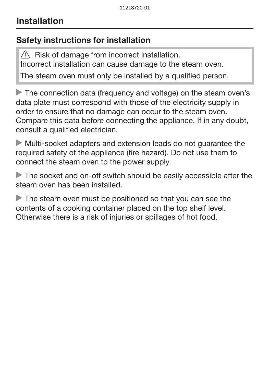## Safety instructions for installation

 $\sqrt{N}$  Risk of damage from incorrect installation. Incorrect installation can cause damage to the steam oven.

The steam oven must only be installed by a qualified person.

The connection data (frequency and voltage) on the steam oven's data plate must correspond with those of the electricity supply in order to ensure that no damage can occur to the steam oven. Compare this data before connecting the appliance. If in any doubt, consult a qualified electrician.

 Multi-socket adapters and extension leads do not guarantee the required safety of the appliance (fire hazard). Do not use them to connect the steam oven to the power supply.

The socket and on-off switch should be easily accessible after the steam oven has been installed.

The steam oven must be positioned so that you can see the contents of a cooking container placed on the top shelf level. Otherwise there is a risk of injuries or spillages of hot food.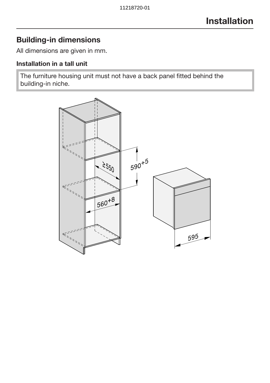### Building-in dimensions

All dimensions are given in mm.

### Installation in a tall unit

The furniture housing unit must not have a back panel fitted behind the building-in niche.

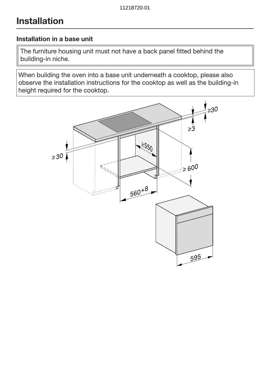#### Installation in a base unit

The furniture housing unit must not have a back panel fitted behind the building-in niche.

When building the oven into a base unit underneath a cooktop, please also observe the installation instructions for the cooktop as well as the building-in height required for the cooktop.

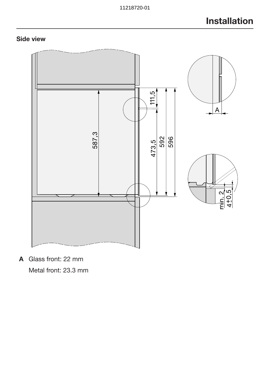### Side view



A Glass front: 22 mm

Metal front: 23.3 mm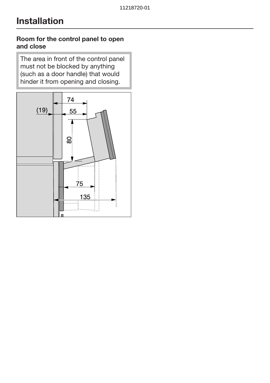#### Room for the control panel to open and close

The area in front of the control panel must not be blocked by anything (such as a door handle) that would hinder it from opening and closing.

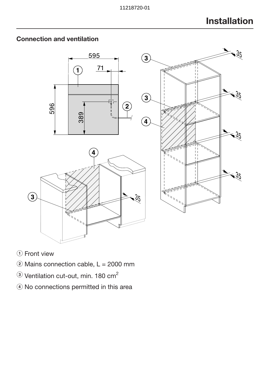

### Connection and ventilation

- 1) Front view
- $\ddot{2}$  Mains connection cable, L = 2000 mm
- $\circledR$  Ventilation cut-out, min. 180 cm<sup>2</sup>
- d No connections permitted in this area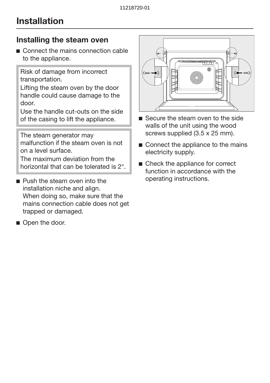### Installing the steam oven

■ Connect the mains connection cable to the appliance.

Risk of damage from incorrect transportation.

Lifting the steam oven by the door handle could cause damage to the door.

Use the handle cut-outs on the side of the casing to lift the appliance.

The steam generator may malfunction if the steam oven is not on a level surface.

The maximum deviation from the horizontal that can be tolerated is 2°.

- **Push the steam oven into the** installation niche and align. When doing so, make sure that the mains connection cable does not get trapped or damaged.
- Open the door.



- Secure the steam oven to the side walls of the unit using the wood screws supplied (3.5 x 25 mm).
- Connect the appliance to the mains electricity supply.
- Check the appliance for correct function in accordance with the operating instructions.